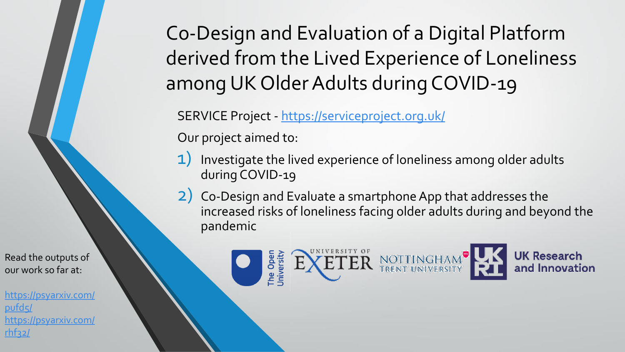Co-Design and Evaluation of a Digital Platform derived from the Lived Experience of Loneliness among UK Older Adults during COVID-19

SERVICE Project - <https://serviceproject.org.uk/>

EXETER

The Oper<br>University

Our project aimed to:

- 1) Investigate the lived experience of loneliness among older adults during COVID-19
- 2) Co-Design and Evaluate a smartphone App that addresses the increased risks of loneliness facing older adults during and beyond the pandemic

NOTTINGHAM<br>TRENT UNIVERSITY

**UK Research** 

and Innovation

Read the outputs of our work so far at:

[https://psyarxiv.com/](https://psyarxiv.com/pufd5/) pufd5/ [https://psyarxiv.com/](https://psyarxiv.com/rhf32/) rhf32/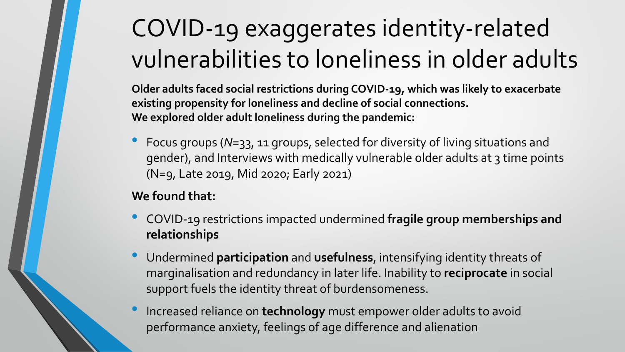# COVID-19 exaggerates identity-related vulnerabilities to loneliness in older adults

**Older adults faced social restrictions during COVID-19, which was likely to exacerbate existing propensity for loneliness and decline of social connections. We explored older adult loneliness during the pandemic:**

• Focus groups (*N*=33, 11 groups, selected for diversity of living situations and gender), and Interviews with medically vulnerable older adults at 3 time points (N=9, Late 2019, Mid 2020; Early 2021)

### **We found that:**

- COVID-19 restrictions impacted undermined **fragile group memberships and relationships**
- Undermined **participation** and **usefulness**, intensifying identity threats of marginalisation and redundancy in later life. Inability to **reciprocate** in social support fuels the identity threat of burdensomeness.
- Increased reliance on **technology** must empower older adults to avoid performance anxiety, feelings of age difference and alienation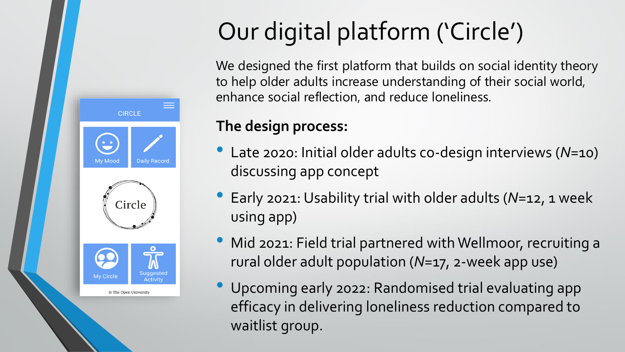

# Our digital platform ('Circle')

We designed the first platform that builds on social identity theory to help older adults increase understanding of their social world, enhance social reflection, and reduce loneliness.

### **The design process:**

- Late 2020: Initial older adults co-design interviews (*N*=10) discussing app concept
- Early 2021: Usability trial with older adults (*N*=12, 1 week using app)
- Mid 2021: Field trial partnered with Wellmoor, recruiting a rural older adult population (*N*=17, 2-week app use)
- Upcoming early 2022: Randomised trial evaluating app efficacy in delivering loneliness reduction compared to waitlist group.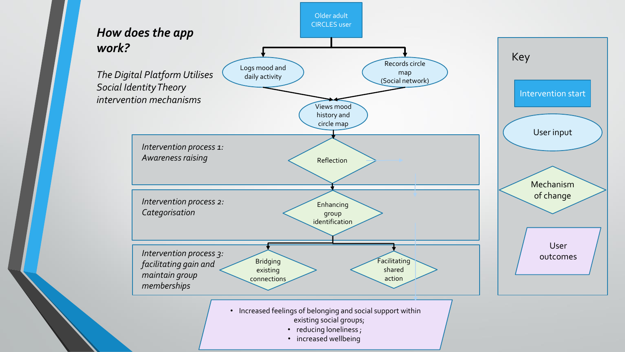